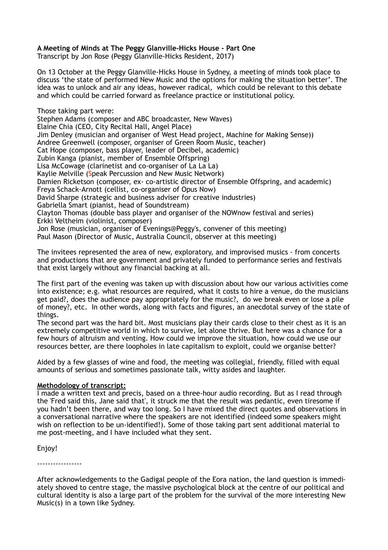# **A Meeting of Minds at The Peggy Glanville-Hicks House - Part One**

Transcript by Jon Rose (Peggy Glanville-Hicks Resident, 2017)

On 13 October at the Peggy Glanville-Hicks House in Sydney, a meeting of minds took place to discuss 'the state of performed New Music and the options for making the situation better'. The idea was to unlock and air any ideas, however radical, which could be relevant to this debate and which could be carried forward as freelance practice or institutional policy.

Those taking part were: Stephen Adams (composer and ABC broadcaster, New Waves) Elaine Chia (CEO, City Recital Hall, Angel Place) Jim Denley (musician and organiser of West Head project, Machine for Making Sense)) Andree Greenwell (composer, organiser of Green Room Music, teacher) Cat Hope (composer, bass player, leader of Decibel, academic) Zubin Kanga (pianist, member of Ensemble Offspring) Lisa McCowage (clarinetist and co-organiser of La La La) Kaylie Melville (Speak Percussion and New Music Network) Damien Ricketson (composer, ex- co-artistic director of Ensemble Offspring, and academic) Freya Schack-Arnott (cellist, co-organiser of Opus Now) David Sharpe (strategic and business adviser for creative industries) Gabriella Smart (pianist, head of Soundstream) Clayton Thomas (double bass player and organiser of the NOWnow festival and series) Erkki Veltheim (violinist, composer) Jon Rose (musician, organiser of Evenings@Peggy's, convener of this meeting) Paul Mason (Director of Music, Australia Council, observer at this meeting)

The invitees represented the area of new, exploratory, and improvised musics - from concerts and productions that are government and privately funded to performance series and festivals that exist largely without any financial backing at all.

The first part of the evening was taken up with discussion about how our various activities come into existence; e.g. what resources are required, what it costs to hire a venue, do the musicians get paid?, does the audience pay appropriately for the music?, do we break even or lose a pile of money?, etc. In other words, along with facts and figures, an anecdotal survey of the state of things.

The second part was the hard bit. Most musicians play their cards close to their chest as it is an extremely competitive world in which to survive, let alone thrive. But here was a chance for a few hours of altruism and venting. How could we improve the situation, how could we use our resources better, are there loopholes in late capitalism to exploit, could we organise better?

Aided by a few glasses of wine and food, the meeting was collegial, friendly, filled with equal amounts of serious and sometimes passionate talk, witty asides and laughter.

# **Methodology of transcript:**

I made a written text and precis, based on a three-hour audio recording. But as I read through the 'Fred said this, Jane said that', it struck me that the result was pedantic, even tiresome if you hadn't been there, and way too long. So I have mixed the direct quotes and observations in a conversational narrative where the speakers are not identified (indeed some speakers might wish on reflection to be un-identified!). Some of those taking part sent additional material to me post-meeting, and I have included what they sent.

Enjoy!

-----------------

After acknowledgements to the Gadigal people of the Eora nation, the land question is immediately shoved to centre stage, the massive psychological block at the centre of our political and cultural identity is also a large part of the problem for the survival of the more interesting New Music(s) in a town like Sydney.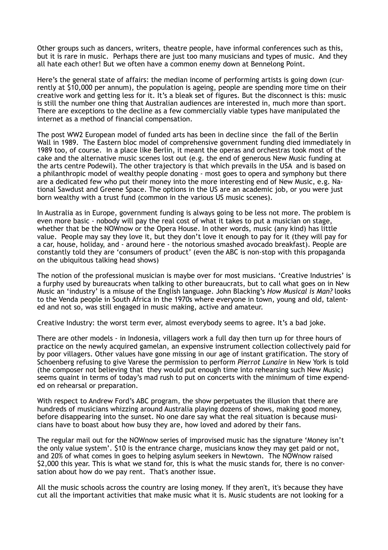Other groups such as dancers, writers, theatre people, have informal conferences such as this, but it is rare in music. Perhaps there are just too many musicians and types of music. And they all hate each other! But we often have a common enemy down at Bennelong Point.

Here's the general state of affairs: the median income of performing artists is going down (currently at \$10,000 per annum), the population is ageing, people are spending more time on their creative work and getting less for it. It's a bleak set of figures. But the disconnect is this: music is still the number one thing that Australian audiences are interested in, much more than sport. There are exceptions to the decline as a few commercially viable types have manipulated the internet as a method of financial compensation.

The post WW2 European model of funded arts has been in decline since the fall of the Berlin Wall in 1989. The Eastern bloc model of comprehensive government funding died immediately in 1989 too, of course. In a place like Berlin, it meant the operas and orchestras took most of the cake and the alternative music scenes lost out (e.g. the end of generous New Music funding at the arts centre Podewil). The other trajectory is that which prevails in the USA and is based on a philanthropic model of wealthy people donating - most goes to opera and symphony but there are a dedicated few who put their money into the more interesting end of New Music, e.g. National Sawdust and Greene Space. The options in the US are an academic job, or you were just born wealthy with a trust fund (common in the various US music scenes).

In Australia as in Europe, government funding is always going to be less not more. The problem is even more basic - nobody will pay the real cost of what it takes to put a musician on stage, whether that be the NOWnow or the Opera House. In other words, music (any kind) has little value. People may say they love it, but they don't love it enough to pay for it (they will pay for a car, house, holiday, and - around here - the notorious smashed avocado breakfast). People are constantly told they are 'consumers of product' (even the ABC is non-stop with this propaganda on the ubiquitous talking head shows)

The notion of the professional musician is maybe over for most musicians. 'Creative Industries' is a furphy used by bureaucrats when talking to other bureaucrats, but to call what goes on in New Music an 'industry' is a misuse of the English language. John Blacking's *How Musical is Man?* looks to the Venda people in South Africa in the 1970s where everyone in town, young and old, talented and not so, was still engaged in music making, active and amateur.

Creative Industry: the worst term ever, almost everybody seems to agree. It's a bad joke.

There are other models - in Indonesia, villagers work a full day then turn up for three hours of practice on the newly acquired gamelan, an expensive instrument collection collectively paid for by poor villagers. Other values have gone missing in our age of instant gratification. The story of Schoenberg refusing to give Varese the permission to perform *Pierrot Lunaire* in New York is told (the composer not believing that they would put enough time into rehearsing such New Music) seems quaint in terms of today's mad rush to put on concerts with the minimum of time expended on rehearsal or preparation.

With respect to Andrew Ford's ABC program, the show perpetuates the illusion that there are hundreds of musicians whizzing around Australia playing dozens of shows, making good money, before disappearing into the sunset. No one dare say what the real situation is because musicians have to boast about how busy they are, how loved and adored by their fans.

The regular mail out for the NOWnow series of improvised music has the signature 'Money isn't the only value system'. \$10 is the entrance charge, musicians know they may get paid or not, and 20% of what comes in goes to helping asylum seekers in Newtown. The NOWnow raised \$2,000 this year. This is what we stand for, this is what the music stands for, there is no conversation about how do we pay rent. That's another issue.

All the music schools across the country are losing money. If they aren't, it's because they have cut all the important activities that make music what it is. Music students are not looking for a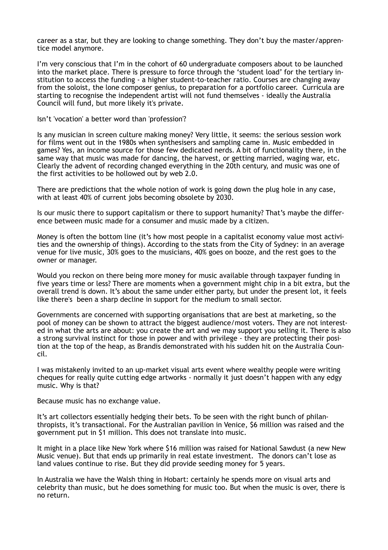career as a star, but they are looking to change something. They don't buy the master/apprentice model anymore.

I'm very conscious that I'm in the cohort of 60 undergraduate composers about to be launched into the market place. There is pressure to force through the 'student load' for the tertiary institution to access the funding - a higher student-to-teacher ratio. Courses are changing away from the soloist, the lone composer genius, to preparation for a portfolio career. Curricula are starting to recognise the independent artist will not fund themselves - ideally the Australia Council will fund, but more likely it's private.

Isn't 'vocation' a better word than 'profession'?

Is any musician in screen culture making money? Very little, it seems: the serious session work for films went out in the 1980s when synthesisers and sampling came in. Music embedded in games? Yes, an income source for those few dedicated nerds. A bit of functionality there, in the same way that music was made for dancing, the harvest, or getting married, waging war, etc. Clearly the advent of recording changed everything in the 20th century, and music was one of the first activities to be hollowed out by web 2.0.

There are predictions that the whole notion of work is going down the plug hole in any case, with at least 40% of current jobs becoming obsolete by 2030.

Is our music there to support capitalism or there to support humanity? That's maybe the difference between music made for a consumer and music made by a citizen.

Money is often the bottom line (it's how most people in a capitalist economy value most activities and the ownership of things). According to the stats from the City of Sydney: in an average venue for live music, 30% goes to the musicians, 40% goes on booze, and the rest goes to the owner or manager.

Would you reckon on there being more money for music available through taxpayer funding in five years time or less? There are moments when a government might chip in a bit extra, but the overall trend is down. It's about the same under either party, but under the present lot, it feels like there's been a sharp decline in support for the medium to small sector.

Governments are concerned with supporting organisations that are best at marketing, so the pool of money can be shown to attract the biggest audience/most voters. They are not interested in what the arts are about: you create the art and we may support you selling it. There is also a strong survival instinct for those in power and with privilege - they are protecting their position at the top of the heap, as Brandis demonstrated with his sudden hit on the Australia Council.

I was mistakenly invited to an up-market visual arts event where wealthy people were writing cheques for really quite cutting edge artworks - normally it just doesn't happen with any edgy music. Why is that?

Because music has no exchange value.

It's art collectors essentially hedging their bets. To be seen with the right bunch of philanthropists, it's transactional. For the Australian pavilion in Venice, \$6 million was raised and the government put in \$1 million. This does not translate into music.

It might in a place like New York where \$16 million was raised for National Sawdust (a new New Music venue). But that ends up primarily in real estate investment. The donors can't lose as land values continue to rise. But they did provide seeding money for 5 years.

In Australia we have the Walsh thing in Hobart: certainly he spends more on visual arts and celebrity than music, but he does something for music too. But when the music is over, there is no return.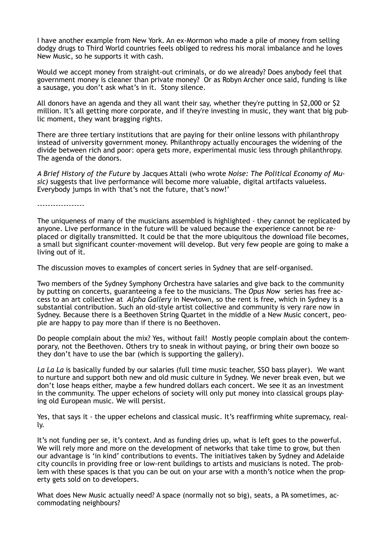I have another example from New York. An ex-Mormon who made a pile of money from selling dodgy drugs to Third World countries feels obliged to redress his moral imbalance and he loves New Music, so he supports it with cash.

Would we accept money from straight-out criminals, or do we already? Does anybody feel that government money is cleaner than private money? Or as Robyn Archer once said, funding is like a sausage, you don't ask what's in it. Stony silence.

All donors have an agenda and they all want their say, whether they're putting in \$2,000 or \$2 million. It's all getting more corporate, and if they're investing in music, they want that big public moment, they want bragging rights.

There are three tertiary institutions that are paying for their online lessons with philanthropy instead of university government money. Philanthropy actually encourages the widening of the divide between rich and poor: opera gets more, experimental music less through philanthropy. The agenda of the donors.

*A Brief History of the Future* by Jacques Attali (who wrote *Noise: The Political Economy of Music)* suggests that live performance will become more valuable, digital artifacts valueless. Everybody jumps in with 'that's not the future, that's now!'

------------------

The uniqueness of many of the musicians assembled is highlighted - they cannot be replicated by anyone. Live performance in the future will be valued because the experience cannot be replaced or digitally transmitted. It could be that the more ubiquitous the download file becomes, a small but significant counter-movement will develop. But very few people are going to make a living out of it.

The discussion moves to examples of concert series in Sydney that are self-organised.

Two members of the Sydney Symphony Orchestra have salaries and give back to the community by putting on concerts, guaranteeing a fee to the musicians. The *Opus Now* series has free access to an art collective at *Alpha Gallery* in Newtown, so the rent is free, which in Sydney is a substantial contribution. Such an old-style artist collective and community is very rare now in Sydney. Because there is a Beethoven String Quartet in the middle of a New Music concert, people are happy to pay more than if there is no Beethoven.

Do people complain about the mix? Yes, without fail! Mostly people complain about the contemporary, not the Beethoven. Others try to sneak in without paying, or bring their own booze so they don't have to use the bar (which is supporting the gallery).

*La La La* is basically funded by our salaries (full time music teacher, SSO bass player). We want to nurture and support both new and old music culture in Sydney. We never break even, but we don't lose heaps either, maybe a few hundred dollars each concert. We see it as an investment in the community. The upper echelons of society will only put money into classical groups playing old European music. We will persist.

Yes, that says it - the upper echelons and classical music. It's reaffirming white supremacy, really.

It's not funding per se, it's context. And as funding dries up, what is left goes to the powerful. We will rely more and more on the development of networks that take time to grow, but then our advantage is 'in kind' contributions to events. The initiatives taken by Sydney and Adelaide city councils in providing free or low-rent buildings to artists and musicians is noted. The problem with these spaces is that you can be out on your arse with a month's notice when the property gets sold on to developers.

What does New Music actually need? A space (normally not so big), seats, a PA sometimes, accommodating neighbours?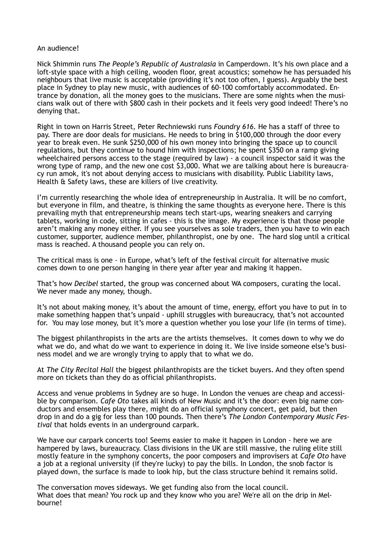## An audience!

Nick Shimmin runs *The People's Republic of Australasia* in Camperdown. It's his own place and a loft-style space with a high ceiling, wooden floor, great acoustics; somehow he has persuaded his neighbours that live music is acceptable (providing it's not too often, I guess). Arguably the best place in Sydney to play new music, with audiences of 60-100 comfortably accommodated. Entrance by donation, all the money goes to the musicians. There are some nights when the musicians walk out of there with \$800 cash in their pockets and it feels very good indeed! There's no denying that.

Right in town on Harris Street, Peter Rechniewski runs *Foundry 616*. He has a staff of three to pay. There are door deals for musicians. He needs to bring in \$100,000 through the door every year to break even. He sunk \$250,000 of his own money into bringing the space up to council regulations, but they continue to hound him with inspections; he spent \$350 on a ramp giving wheelchaired persons access to the stage (required by law) - a council inspector said it was the wrong type of ramp, and the new one cost \$3,000. What we are talking about here is bureaucracy run amok, it's not about denying access to musicians with disability. Public Liability laws, Health & Safety laws, these are killers of live creativity.

I'm currently researching the whole idea of entrepreneurship in Australia. It will be no comfort, but everyone in film, and theatre, is thinking the same thoughts as everyone here. There is this prevailing myth that entrepreneurship means tech start-ups, wearing sneakers and carrying tablets, working in code, sitting in cafes - this is the image. My experience is that those people aren't making any money either. If you see yourselves as sole traders, then you have to win each customer, supporter, audience member, philanthropist, one by one. The hard slog until a critical mass is reached. A thousand people you can rely on.

The critical mass is one - in Europe, what's left of the festival circuit for alternative music comes down to one person hanging in there year after year and making it happen.

That's how *Decibel* started, the group was concerned about WA composers, curating the local. We never made any money, though.

It's not about making money, it's about the amount of time, energy, effort you have to put in to make something happen that's unpaid - uphill struggles with bureaucracy, that's not accounted for. You may lose money, but it's more a question whether you lose your life (in terms of time).

The biggest philanthropists in the arts are the artists themselves. It comes down to why we do what we do, and what do we want to experience in doing it. We live inside someone else's business model and we are wrongly trying to apply that to what we do.

At *The City Recital Hall* the biggest philanthropists are the ticket buyers. And they often spend more on tickets than they do as official philanthropists.

Access and venue problems in Sydney are so huge. In London the venues are cheap and accessible by comparison. *Cafe Oto* takes all kinds of New Music and it's the door: even big name conductors and ensembles play there, might do an official symphony concert, get paid, but then drop in and do a gig for less than 100 pounds. Then there's *The London Contemporary Music Festival* that holds events in an underground carpark.

We have our carpark concerts too! Seems easier to make it happen in London - here we are hampered by laws, bureaucracy. Class divisions in the UK are still massive, the ruling elite still mostly feature in the symphony concerts, the poor composers and improvisers at *Cafe Oto* have a job at a regional university (if they're lucky) to pay the bills. In London, the snob factor is played down, the surface is made to look hip, but the class structure behind it remains solid.

The conversation moves sideways. We get funding also from the local council. What does that mean? You rock up and they know who you are? We're all on the drip in Melbourne!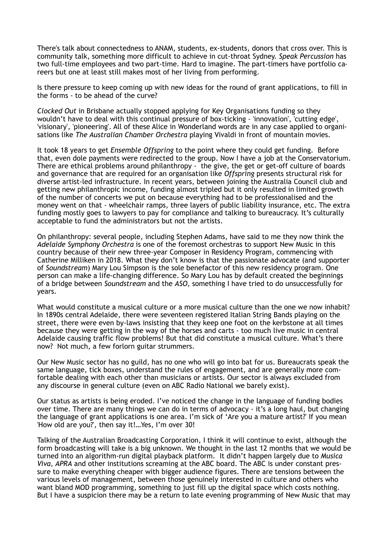There's talk about connectedness to ANAM, students, ex-students, donors that cross over. This is community talk, something more difficult to achieve in cut-throat Sydney. *Speak Percussion* has two full-time employees and two part-time. Hard to imagine. The part-timers have portfolio careers but one at least still makes most of her living from performing.

Is there pressure to keep coming up with new ideas for the round of grant applications, to fill in the forms - to be ahead of the curve?

*Clocked Out* in Brisbane actually stopped applying for Key Organisations funding so they wouldn't have to deal with this continual pressure of box-ticking - 'innovation', 'cutting edge', 'visionary', 'pioneering'. All of these Alice in Wonderland words are in any case applied to organisations like *The Australian Chamber Orchestra* playing Vivaldi in front of mountain movies.

It took 18 years to get *Ensemble Offspring* to the point where they could get funding. Before that, even dole payments were redirected to the group. Now I have a job at the Conservatorium. There are ethical problems around philanthropy - the give, the get or get-off culture of boards and governance that are required for an organisation like *Offspring* presents structural risk for diverse artist-led infrastructure. In recent years, between joining the Australia Council club and getting new philanthropic income, funding almost tripled but it only resulted in limited growth of the number of concerts we put on because everything had to be professionalised and the money went on that - wheelchair ramps, three layers of public liability insurance, etc. The extra funding mostly goes to lawyers to pay for compliance and talking to bureaucracy. It's culturally acceptable to fund the administrators but not the artists.

On philanthropy: several people, including Stephen Adams, have said to me they now think the *Adelaide Symphony Orchestra* is one of the foremost orchestras to support New Music in this country because of their new three-year Composer in Residency Program, commencing with Catherine Milliken in 2018. What they don't know is that the passionate advocate (and supporter of *Soundstream*) Mary Lou Simpson is the sole benefactor of this new residency program. One person can make a life-changing difference. So Mary Lou has by default created the beginnings of a bridge between *Soundstream* and the *ASO*, something I have tried to do unsuccessfully for years.

What would constitute a musical culture or a more musical culture than the one we now inhabit? In 1890s central Adelaide, there were seventeen registered Italian String Bands playing on the street, there were even by-laws insisting that they keep one foot on the kerbstone at all times because they were getting in the way of the horses and carts - too much live music in central Adelaide causing traffic flow problems! But that did constitute a musical culture. What's there now? Not much, a few forlorn guitar strummers.

Our New Music sector has no guild, has no one who will go into bat for us. Bureaucrats speak the same language, tick boxes, understand the rules of engagement, and are generally more comfortable dealing with each other than musicians or artists. Our sector is always excluded from any discourse in general culture (even on ABC Radio National we barely exist).

Our status as artists is being eroded. I've noticed the change in the language of funding bodies over time. There are many things we can do in terms of advocacy - it's a long haul, but changing the language of grant applications is one area. I'm sick of 'Are you a mature artist?' If you mean 'How old are you?', then say it!…Yes, I'm over 30!

Talking of the Australian Broadcasting Corporation, I think it will continue to exist, although the form broadcasting will take is a big unknown. We thought in the last 12 months that we would be turned into an algorithm-run digital playback platform. It didn't happen largely due to *Musica Viva, APRA* and other institutions screaming at the ABC board. The ABC is under constant pressure to make everything cheaper with bigger audience figures. There are tensions between the various levels of management, between those genuinely interested in culture and others who want bland MOD programming, something to just fill up the digital space which costs nothing. But I have a suspicion there may be a return to late evening programming of New Music that may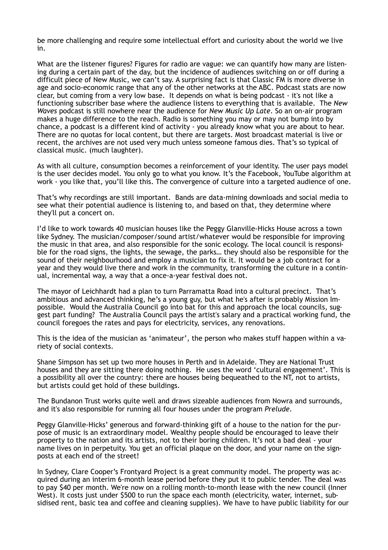be more challenging and require some intellectual effort and curiosity about the world we live in.

What are the listener figures? Figures for radio are vague: we can quantify how many are listening during a certain part of the day, but the incidence of audiences switching on or off during a difficult piece of New Music, we can't say. A surprising fact is that Classic FM is more diverse in age and socio-economic range that any of the other networks at the ABC. Podcast stats are now clear, but coming from a very low base. It depends on what is being podcast - it's not like a functioning subscriber base where the audience listens to everything that is available. The *New Waves* podcast is still nowhere near the audience for *New Music Up Late*. So an on-air program makes a huge difference to the reach. Radio is something you may or may not bump into by chance, a podcast is a different kind of activity - you already know what you are about to hear. There are no quotas for local content, but there are targets. Most broadcast material is live or recent, the archives are not used very much unless someone famous dies. That's so typical of classical music. (much laughter).

As with all culture, consumption becomes a reinforcement of your identity. The user pays model is the user decides model. You only go to what you know. It's the Facebook, YouTube algorithm at work - you like that, you'll like this. The convergence of culture into a targeted audience of one.

That's why recordings are still important. Bands are data-mining downloads and social media to see what their potential audience is listening to, and based on that, they determine where they'll put a concert on.

I'd like to work towards 40 musician houses like the Peggy Glanville-Hicks House across a town like Sydney. The musician/composer/sound artist/whatever would be responsible for improving the music in that area, and also responsible for the sonic ecology. The local council is responsible for the road signs, the lights, the sewage, the parks… they should also be responsible for the sound of their neighbourhood and employ a musician to fix it. It would be a job contract for a year and they would live there and work in the community, transforming the culture in a continual, incremental way, a way that a once-a-year festival does not.

The mayor of Leichhardt had a plan to turn Parramatta Road into a cultural precinct. That's ambitious and advanced thinking, he's a young guy, but what he's after is probably Mission Impossible. Would the Australia Council go into bat for this and approach the local councils, suggest part funding? The Australia Council pays the artist's salary and a practical working fund, the council foregoes the rates and pays for electricity, services, any renovations.

This is the idea of the musician as 'animateur', the person who makes stuff happen within a variety of social contexts.

Shane Simpson has set up two more houses in Perth and in Adelaide. They are National Trust houses and they are sitting there doing nothing. He uses the word 'cultural engagement'. This is a possibility all over the country: there are houses being bequeathed to the NT, not to artists, but artists could get hold of these buildings.

The Bundanon Trust works quite well and draws sizeable audiences from Nowra and surrounds, and it's also responsible for running all four houses under the program *Prelude.*

Peggy Glanville-Hicks' generous and forward-thinking gift of a house to the nation for the purpose of music is an extraordinary model. Wealthy people should be encouraged to leave their property to the nation and its artists, not to their boring children. It's not a bad deal - your name lives on in perpetuity. You get an official plaque on the door, and your name on the signposts at each end of the street!

In Sydney, Clare Cooper's Frontyard Project is a great community model. The property was acquired during an interim 6-month lease period before they put it to public tender. The deal was to pay \$40 per month. We're now on a rolling month-to-month lease with the new council (Inner West). It costs just under \$500 to run the space each month (electricity, water, internet, subsidised rent, basic tea and coffee and cleaning supplies). We have to have public liability for our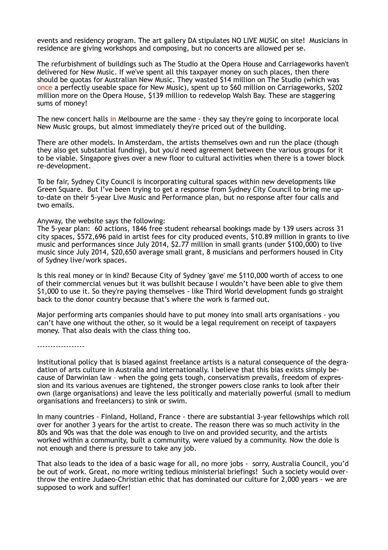events and residency program. The art gallery DA stipulates NO LIVE MUSIC on site! Musicians in residence are giving workshops and composing, but no concerts are allowed per se.

The refurbishment of buildings such as The Studio at the Opera House and Carriageworks haven't delivered for New Music. If we've spent all this taxpayer money on such places, then there should be quotas for Australian New Music. They wasted \$14 million on The Studio (which was once a perfectly useable space for New Music), spent up to \$60 million on Carriageworks, \$202 million more on the Opera House, \$139 million to redevelop Walsh Bay. These are staggering sums of money!

The new concert halls in Melbourne are the same - they say they're going to incorporate local New Music groups, but almost immediately they're priced out of the building.

There are other models. In Amsterdam, the artists themselves own and run the place (though they also get substantial funding), but you'd need agreement between the various groups for it to be viable. Singapore gives over a new floor to cultural activities when there is a tower block re-development.

To be fair, Sydney City Council is incorporating cultural spaces within new developments like Green Square. But I've been trying to get a response from Sydney City Council to bring me upto-date on their 5-year Live Music and Performance plan, but no response after four calls and two emails.

#### Anyway, the website says the following:

The 5-year plan: 60 actions, 1846 free student rehearsal bookings made by 139 users across 31 city spaces, \$572,696 paid in artist fees for city produced events, \$10.89 million in grants to live music and performances since July 2014, \$2.77 million in small grants (under \$100,000) to live music since July 2014, \$20,650 average small grant, 8 musicians and performers housed in City of Sydney live/work spaces.

Is this real money or in kind? Because City of Sydney 'gave' me \$110,000 worth of access to one of their commercial venues but it was bullshit because I wouldn't have been able to give them \$1,000 to use it. So they're paying themselves - like Third World development funds go straight back to the donor country because that's where the work is farmed out.

Major performing arts companies should have to put money into small arts organisations - you can't have one without the other, so it would be a legal requirement on receipt of taxpayers money. That also deals with the class thing too.

------------------

Institutional policy that is biased against freelance artists is a natural consequence of the degradation of arts culture in Australia and internationally. I believe that this bias exists simply because of Darwinian law – when the going gets tough, conservatism prevails, freedom of expression and its various avenues are tightened, the stronger powers close ranks to look after their own (large organisations) and leave the less politically and materially powerful (small to medium organisations and freelancers) to sink or swim.

In many countries - Finland, Holland, France - there are substantial 3-year fellowships which roll over for another 3 years for the artist to create. The reason there was so much activity in the 80s and 90s was that the dole was enough to live on and provided security, and the artists worked within a community, built a community, were valued by a community. Now the dole is not enough and there is pressure to take any job.

That also leads to the idea of a basic wage for all, no more jobs - sorry, Australia Council, you'd be out of work. Great, no more writing tedious ministerial briefings! Such a society would overthrow the entire Judaeo-Christian ethic that has dominated our culture for 2,000 years - we are supposed to work and suffer!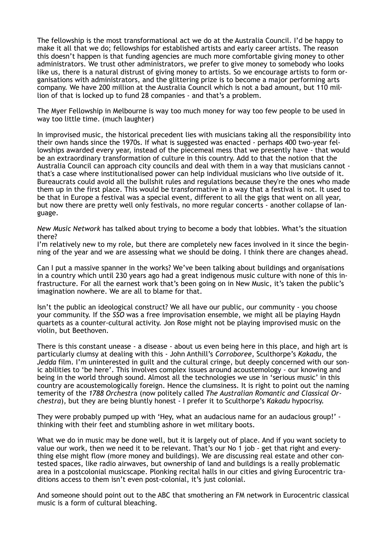The fellowship is the most transformational act we do at the Australia Council. I'd be happy to make it all that we do; fellowships for established artists and early career artists. The reason this doesn't happen is that funding agencies are much more comfortable giving money to other administrators. We trust other administrators, we prefer to give money to somebody who looks like us, there is a natural distrust of giving money to artists. So we encourage artists to form organisations with administrators, and the glittering prize is to become a major performing arts company. We have 200 million at the Australia Council which is not a bad amount, but 110 million of that is locked up to fund 28 companies - and that's a problem.

The Myer Fellowship in Melbourne is way too much money for way too few people to be used in way too little time. (much laughter)

In improvised music, the historical precedent lies with musicians taking all the responsibility into their own hands since the 1970s. If what is suggested was enacted - perhaps 400 two-year fellowships awarded every year, instead of the piecemeal mess that we presently have - that would be an extraordinary transformation of culture in this country. Add to that the notion that the Australia Council can approach city councils and deal with them in a way that musicians cannot that's a case where institutionalised power can help individual musicians who live outside of it. Bureaucrats could avoid all the bullshit rules and regulations because they're the ones who made them up in the first place. This would be transformative in a way that a festival is not. It used to be that in Europe a festival was a special event, different to all the gigs that went on all year, but now there are pretty well only festivals, no more regular concerts - another collapse of language.

*New Music Network* has talked about trying to become a body that lobbies. What's the situation there?

I'm relatively new to my role, but there are completely new faces involved in it since the beginning of the year and we are assessing what we should be doing. I think there are changes ahead.

Can I put a massive spanner in the works? We've been talking about buildings and organisations in a country which until 230 years ago had a great indigenous music culture with none of this infrastructure. For all the earnest work that's been going on in New Music, it's taken the public's imagination nowhere. We are all to blame for that.

Isn't the public an ideological construct? We all have our public, our community - you choose your community. If the *SSO* was a free improvisation ensemble, we might all be playing Haydn quartets as a counter-cultural activity. Jon Rose might not be playing improvised music on the violin, but Beethoven.

There is this constant unease - a disease - about us even being here in this place, and high art is particularly clumsy at dealing with this - John Anthill's *Corroboree*, Sculthorpe's *Kakadu*, the *Jedda* film. I'm uninterested in guilt and the cultural cringe, but deeply concerned with our sonic abilities to 'be here'. This involves complex issues around acoustemology - our knowing and being in the world through sound. Almost all the technologies we use in 'serious music' in this country are acoustemologically foreign. Hence the clumsiness. It is right to point out the naming temerity of the *1788 Orchestr*a (now politely called *The Australian Romantic and Classical Orchestra*), but they are being bluntly honest - I prefer it to Sculthorpe's *Kakadu* hypocrisy.

They were probably pumped up with 'Hey, what an audacious name for an audacious group!' thinking with their feet and stumbling ashore in wet military boots.

What we do in music may be done well, but it is largely out of place. And if you want society to value our work, then we need it to be relevant. That's our No 1 job - get that right and everything else might flow (more money and buildings). We are discussing real estate and other contested spaces, like radio airwaves, but ownership of land and buildings is a really problematic area in a postcolonial musicscape. Plonking recital halls in our cities and giving Eurocentric traditions access to them isn't even post-colonial, it's just colonial.

And someone should point out to the ABC that smothering an FM network in Eurocentric classical music is a form of cultural bleaching.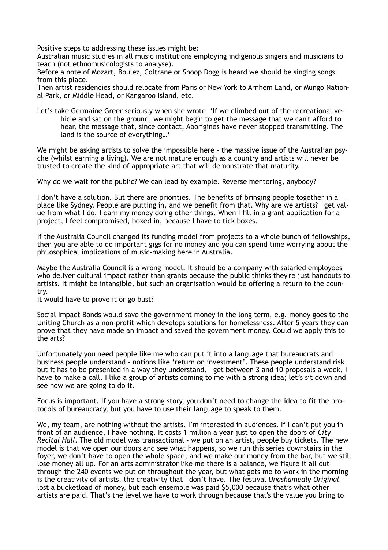Positive steps to addressing these issues might be:

Australian music studies in all music institutions employing indigenous singers and musicians to teach (not ethnomusicologists to analyse).

Before a note of Mozart, Boulez, Coltrane or Snoop Dogg is heard we should be singing songs from this place.

Then artist residencies should relocate from Paris or New York to Arnhem Land, or Mungo National Park, or Middle Head, or Kangaroo Island, etc.

Let's take Germaine Greer seriously when she wrote 'If we climbed out of the recreational vehicle and sat on the ground, we might begin to get the message that we can't afford to hear, the message that, since contact, Aborigines have never stopped transmitting. The land is the source of everything…'

We might be asking artists to solve the impossible here - the massive issue of the Australian psyche (whilst earning a living). We are not mature enough as a country and artists will never be trusted to create the kind of appropriate art that will demonstrate that maturity.

Why do we wait for the public? We can lead by example. Reverse mentoring, anybody?

I don't have a solution. But there are priorities. The benefits of bringing people together in a place like Sydney. People are putting in, and we benefit from that. Why are we artists? I get value from what I do. I earn my money doing other things. When I fill in a grant application for a project, I feel compromised, boxed in, because I have to tick boxes.

If the Australia Council changed its funding model from projects to a whole bunch of fellowships, then you are able to do important gigs for no money and you can spend time worrying about the philosophical implications of music-making here in Australia.

Maybe the Australia Council is a wrong model. It should be a company with salaried employees who deliver cultural impact rather than grants because the public thinks they're just handouts to artists. It might be intangible, but such an organisation would be offering a return to the country.

It would have to prove it or go bust?

Social Impact Bonds would save the government money in the long term, e.g. money goes to the Uniting Church as a non-profit which develops solutions for homelessness. After 5 years they can prove that they have made an impact and saved the government money. Could we apply this to the arts?

Unfortunately you need people like me who can put it into a language that bureaucrats and business people understand - notions like 'return on investment'. These people understand risk but it has to be presented in a way they understand. I get between 3 and 10 proposals a week, I have to make a call. I like a group of artists coming to me with a strong idea; let's sit down and see how we are going to do it.

Focus is important. If you have a strong story, you don't need to change the idea to fit the protocols of bureaucracy, but you have to use their language to speak to them.

We, my team, are nothing without the artists. I'm interested in audiences. If I can't put you in front of an audience, I have nothing. It costs 1 million a year just to open the doors of *City Recital Hall*. The old model was transactional - we put on an artist, people buy tickets. The new model is that we open our doors and see what happens, so we run this series downstairs in the foyer, we don't have to open the whole space, and we make our money from the bar, but we still lose money all up. For an arts administrator like me there is a balance, we figure it all out through the 240 events we put on throughout the year, but what gets me to work in the morning is the creativity of artists, the creativity that I don't have. The festival *Unashamedly Original* lost a bucketload of money, but each ensemble was paid \$5,000 because that's what other artists are paid. That's the level we have to work through because that's the value you bring to